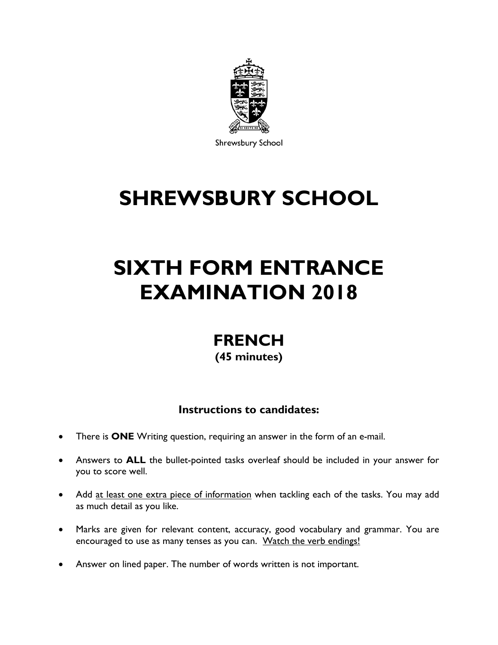

Shrewsbury School

## **SHREWSBURY SCHOOL**

# **SIXTH FORM ENTRANCE EXAMINATION 2018**

### **FRENCH (45 minutes)**

### **Instructions to candidates:**

- There is **ONE** Writing question, requiring an answer in the form of an e-mail.
- Answers to **ALL** the bullet-pointed tasks overleaf should be included in your answer for you to score well.
- Add at least one extra piece of information when tackling each of the tasks. You may add as much detail as you like.
- Marks are given for relevant content, accuracy, good vocabulary and grammar. You are encouraged to use as many tenses as you can. Watch the verb endings!
- Answer on lined paper. The number of words written is not important.